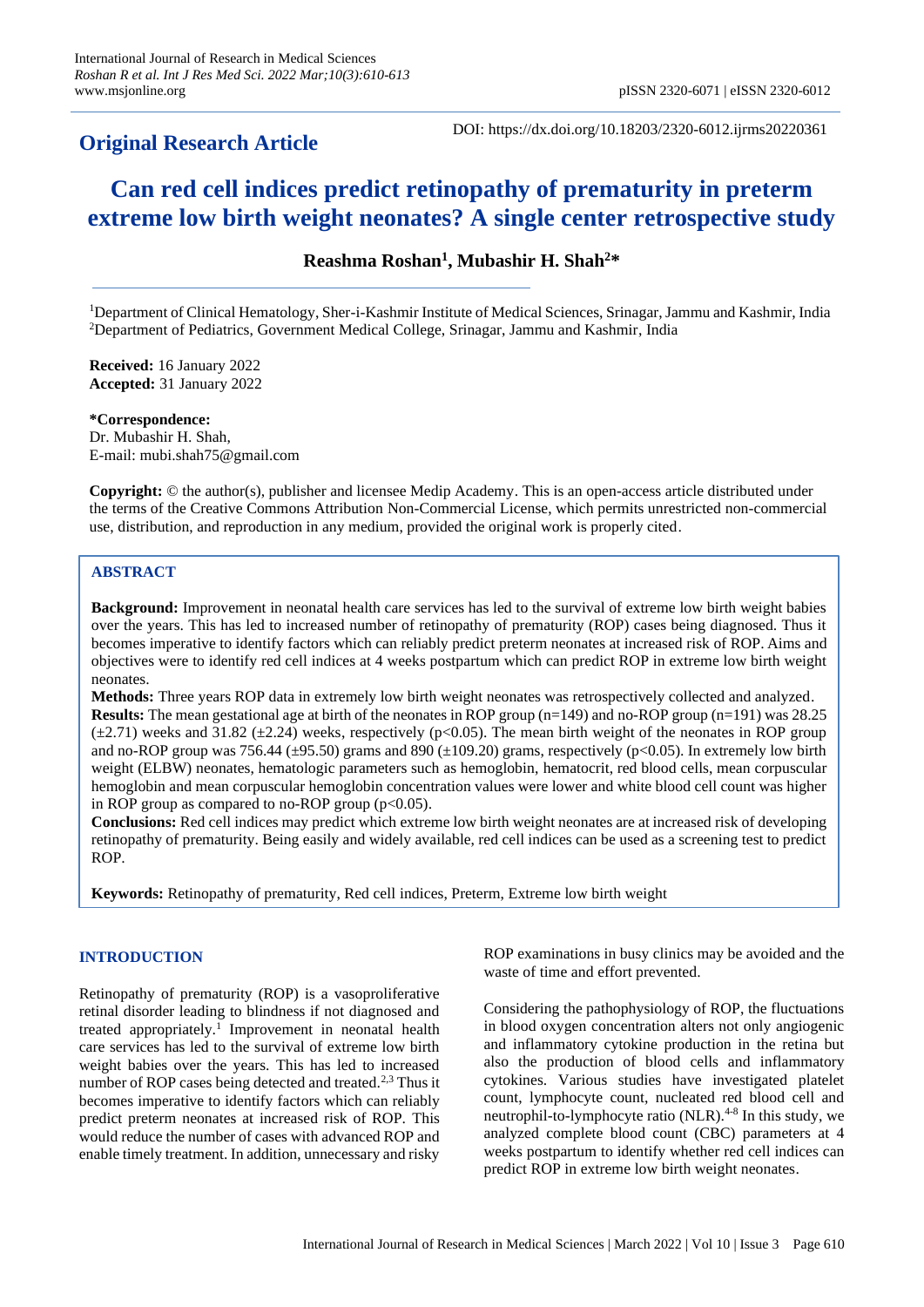# **Original Research Article**

DOI: https://dx.doi.org/10.18203/2320-6012.ijrms20220361

# **Can red cell indices predict retinopathy of prematurity in preterm extreme low birth weight neonates? A single center retrospective study**

**Reashma Roshan<sup>1</sup> , Mubashir H. Shah<sup>2</sup>\***

<sup>1</sup>Department of Clinical Hematology, Sher-i-Kashmir Institute of Medical Sciences, Srinagar, Jammu and Kashmir, India <sup>2</sup>Department of Pediatrics, Government Medical College, Srinagar, Jammu and Kashmir, India

**Received:** 16 January 2022 **Accepted:** 31 January 2022

**\*Correspondence:** Dr. Mubashir H. Shah, E-mail: mubi.shah75@gmail.com

**Copyright:** © the author(s), publisher and licensee Medip Academy. This is an open-access article distributed under the terms of the Creative Commons Attribution Non-Commercial License, which permits unrestricted non-commercial use, distribution, and reproduction in any medium, provided the original work is properly cited.

# **ABSTRACT**

**Background:** Improvement in neonatal health care services has led to the survival of extreme low birth weight babies over the years. This has led to increased number of retinopathy of prematurity (ROP) cases being diagnosed. Thus it becomes imperative to identify factors which can reliably predict preterm neonates at increased risk of ROP. Aims and objectives were to identify red cell indices at 4 weeks postpartum which can predict ROP in extreme low birth weight neonates.

**Methods:** Three years ROP data in extremely low birth weight neonates was retrospectively collected and analyzed. **Results:** The mean gestational age at birth of the neonates in ROP group (n=149) and no-ROP group (n=191) was 28.25  $(\pm 2.71)$  weeks and 31.82 ( $\pm 2.24$ ) weeks, respectively (p<0.05). The mean birth weight of the neonates in ROP group and no-ROP group was 756.44 ( $\pm$ 95.50) grams and 890 ( $\pm$ 109.20) grams, respectively (p<0.05). In extremely low birth weight (ELBW) neonates, hematologic parameters such as hemoglobin, hematocrit, red blood cells, mean corpuscular hemoglobin and mean corpuscular hemoglobin concentration values were lower and white blood cell count was higher in ROP group as compared to no-ROP group  $(p<0.05)$ .

**Conclusions:** Red cell indices may predict which extreme low birth weight neonates are at increased risk of developing retinopathy of prematurity. Being easily and widely available, red cell indices can be used as a screening test to predict ROP.

**Keywords:** Retinopathy of prematurity, Red cell indices, Preterm, Extreme low birth weight

### **INTRODUCTION**

Retinopathy of prematurity (ROP) is a vasoproliferative retinal disorder leading to blindness if not diagnosed and treated appropriately.<sup>1</sup> Improvement in neonatal health care services has led to the survival of extreme low birth weight babies over the years. This has led to increased number of ROP cases being detected and treated.2,3 Thus it becomes imperative to identify factors which can reliably predict preterm neonates at increased risk of ROP. This would reduce the number of cases with advanced ROP and enable timely treatment. In addition, unnecessary and risky ROP examinations in busy clinics may be avoided and the waste of time and effort prevented.

Considering the pathophysiology of ROP, the fluctuations in blood oxygen concentration alters not only angiogenic and inflammatory cytokine production in the retina but also the production of blood cells and inflammatory cytokines. Various studies have investigated platelet count, lymphocyte count, nucleated red blood cell and neutrophil-to-lymphocyte ratio (NLR).<sup>4-8</sup> In this study, we analyzed complete blood count (CBC) parameters at 4 weeks postpartum to identify whether red cell indices can predict ROP in extreme low birth weight neonates.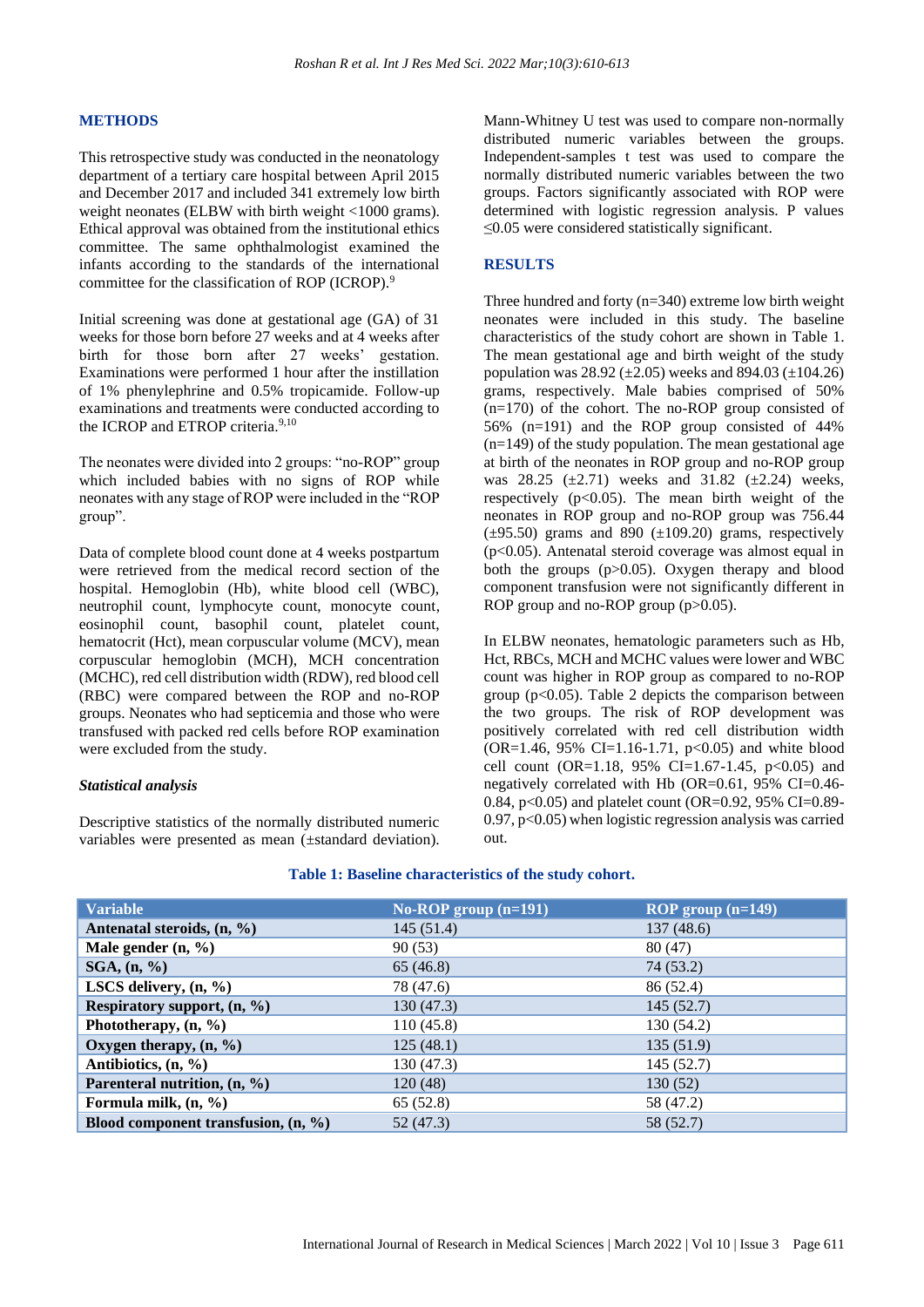#### **METHODS**

This retrospective study was conducted in the neonatology department of a tertiary care hospital between April 2015 and December 2017 and included 341 extremely low birth weight neonates (ELBW with birth weight <1000 grams). Ethical approval was obtained from the institutional ethics committee. The same ophthalmologist examined the infants according to the standards of the international committee for the classification of ROP (ICROP).<sup>9</sup>

Initial screening was done at gestational age (GA) of 31 weeks for those born before 27 weeks and at 4 weeks after birth for those born after 27 weeks' gestation. Examinations were performed 1 hour after the instillation of 1% phenylephrine and 0.5% tropicamide. Follow-up examinations and treatments were conducted according to the ICROP and ETROP criteria.<sup>9,10</sup>

The neonates were divided into 2 groups: "no-ROP" group which included babies with no signs of ROP while neonates with any stage of ROP were included in the "ROP group".

Data of complete blood count done at 4 weeks postpartum were retrieved from the medical record section of the hospital. Hemoglobin (Hb), white blood cell (WBC), neutrophil count, lymphocyte count, monocyte count, eosinophil count, basophil count, platelet count, hematocrit (Hct), mean corpuscular volume (MCV), mean corpuscular hemoglobin (MCH), MCH concentration (MCHC), red cell distribution width (RDW), red blood cell (RBC) were compared between the ROP and no-ROP groups. Neonates who had septicemia and those who were transfused with packed red cells before ROP examination were excluded from the study.

#### *Statistical analysis*

Descriptive statistics of the normally distributed numeric variables were presented as mean (±standard deviation). Mann-Whitney U test was used to compare non-normally distributed numeric variables between the groups. Independent-samples t test was used to compare the normally distributed numeric variables between the two groups. Factors significantly associated with ROP were determined with logistic regression analysis. P values ≤0.05 were considered statistically significant.

#### **RESULTS**

Three hundred and forty  $(n=340)$  extreme low birth weight neonates were included in this study. The baseline characteristics of the study cohort are shown in Table 1. The mean gestational age and birth weight of the study population was  $28.92 \ (\pm 2.05)$  weeks and  $894.03 \ (\pm 104.26)$ grams, respectively. Male babies comprised of 50% (n=170) of the cohort. The no-ROP group consisted of 56% (n=191) and the ROP group consisted of 44%  $(n=149)$  of the study population. The mean gestational age at birth of the neonates in ROP group and no-ROP group was 28.25 ( $\pm$ 2.71) weeks and 31.82 ( $\pm$ 2.24) weeks, respectively  $(p<0.05)$ . The mean birth weight of the neonates in ROP group and no-ROP group was 756.44  $(\pm 95.50)$  grams and 890  $(\pm 109.20)$  grams, respectively  $(p<0.05)$ . Antenatal steroid coverage was almost equal in both the groups (p>0.05). Oxygen therapy and blood component transfusion were not significantly different in ROP group and no-ROP group (p>0.05).

In ELBW neonates, hematologic parameters such as Hb, Hct, RBCs, MCH and MCHC values were lower and WBC count was higher in ROP group as compared to no-ROP group ( $p<0.05$ ). Table 2 depicts the comparison between the two groups. The risk of ROP development was positively correlated with red cell distribution width  $(OR=1.46, 95\% CI=1.16-1.71, p<0.05)$  and white blood cell count (OR=1.18, 95% CI=1.67-1.45,  $p<0.05$ ) and negatively correlated with Hb (OR=0.61, 95% CI=0.46- 0.84, p<0.05) and platelet count (OR=0.92, 95% CI=0.89-  $0.97$ ,  $p<0.05$ ) when logistic regression analysis was carried out.

| <b>Variable</b>                                 | No-ROP group $(n=191)$ | ROP group $(n=149)$ |
|-------------------------------------------------|------------------------|---------------------|
| Antenatal steroids, (n, %)                      | 145(51.4)              | 137(48.6)           |
| Male gender $(n, \frac{9}{6})$                  | 90(53)                 | 80(47)              |
| SGA, (n, %)                                     | 65(46.8)               | 74(53.2)            |
| LSCS delivery, $(n, \%)$                        | 78 (47.6)              | 86 (52.4)           |
| Respiratory support, $(n, \frac{6}{6})$         | 130(47.3)              | 145(52.7)           |
| Phototherapy, $(n, %)$                          | 110(45.8)              | 130 (54.2)          |
| Oxygen therapy, $(n, \frac{6}{6})$              | 125(48.1)              | 135(51.9)           |
| Antibiotics, $(n, \frac{9}{6})$                 | 130(47.3)              | 145 (52.7)          |
| Parenteral nutrition, $(n, %$                   | 120(48)                | 130(52)             |
| Formula milk, $(n, %)$                          | 65 (52.8)              | 58 (47.2)           |
| Blood component transfusion, $(n, \frac{9}{6})$ | 52 (47.3)              | 58 (52.7)           |

#### **Table 1: Baseline characteristics of the study cohort.**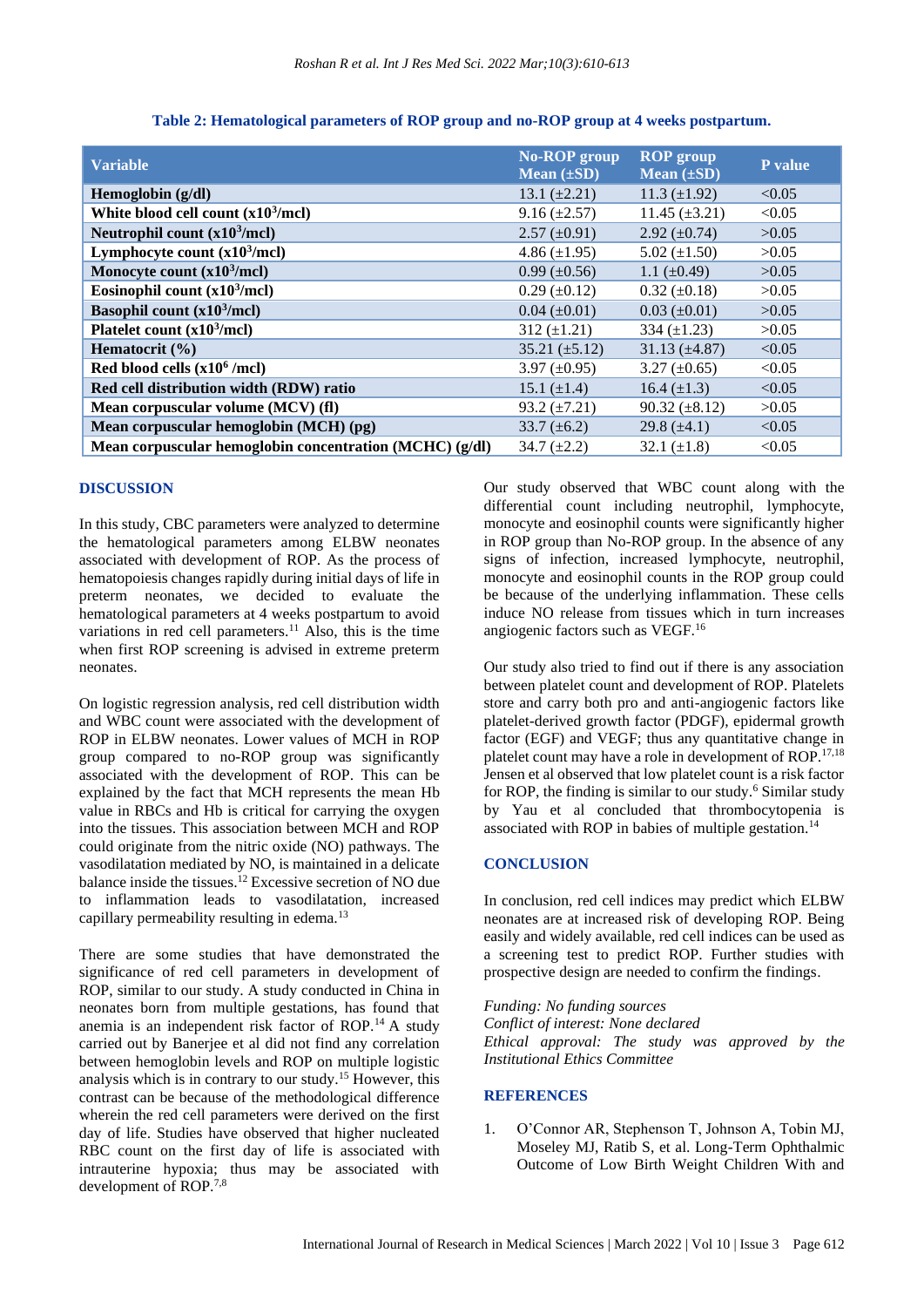| <b>Variable</b>                                         | <b>No-ROP</b> group<br>Mean $(\pm SD)$ | <b>ROP</b> group<br>Mean $(\pm SD)$ | P value |
|---------------------------------------------------------|----------------------------------------|-------------------------------------|---------|
| Hemoglobin (g/dl)                                       | 13.1 $(\pm 2.21)$                      | 11.3 $(\pm 1.92)$                   | < 0.05  |
| White blood cell count $(x10^3/mc)$                     | $9.16 \left( \pm 2.57 \right)$         | $11.45 \ (\pm 3.21)$                | < 0.05  |
| Neutrophil count $(x10^3/mc)$                           | $2.57 \ (\pm 0.91)$                    | 2.92 $(\pm 0.74)$                   | >0.05   |
| Lymphocyte count $(x10^3/mcl)$                          | $4.86 \ (\pm 1.95)$                    | 5.02 $(\pm 1.50)$                   | >0.05   |
| Monocyte count $(x10^3/mcl)$                            | $0.99 \ (\pm 0.56)$                    | 1.1 $(\pm 0.49)$                    | >0.05   |
| Eosinophil count $(x10^3/mcl)$                          | $0.29 \ (\pm 0.12)$                    | $0.32 \ (\pm 0.18)$                 | >0.05   |
| Basophil count $(x10^3/mc)$                             | $0.04 \ (\pm 0.01)$                    | $0.03 \ (\pm 0.01)$                 | >0.05   |
| Platelet count $(x10^3/mc)$                             | $312 (\pm 1.21)$                       | 334 $(\pm 1.23)$                    | >0.05   |
| Hematocrit $(\% )$                                      | $35.21 (\pm 5.12)$                     | $31.13 \ (\pm 4.87)$                | < 0.05  |
| Red blood cells $(x10^6$ /mcl)                          | 3.97 $(\pm 0.95)$                      | $3.27 \ (\pm 0.65)$                 | < 0.05  |
| Red cell distribution width (RDW) ratio                 | 15.1 $(\pm 1.4)$                       | 16.4 $(\pm 1.3)$                    | < 0.05  |
| Mean corpuscular volume (MCV) (fl)                      | $93.2 \ (\pm 7.21)$                    | $90.32 \ (\pm 8.12)$                | >0.05   |
| Mean corpuscular hemoglobin (MCH) (pg)                  | 33.7 $(\pm 6.2)$                       | 29.8 $(\pm 4.1)$                    | < 0.05  |
| Mean corpuscular hemoglobin concentration (MCHC) (g/dl) | $34.7 (\pm 2.2)$                       | 32.1 $(\pm 1.8)$                    | < 0.05  |

**Table 2: Hematological parameters of ROP group and no-ROP group at 4 weeks postpartum.**

#### **DISCUSSION**

In this study, CBC parameters were analyzed to determine the hematological parameters among ELBW neonates associated with development of ROP. As the process of hematopoiesis changes rapidly during initial days of life in preterm neonates, we decided to evaluate the hematological parameters at 4 weeks postpartum to avoid variations in red cell parameters.<sup>11</sup> Also, this is the time when first ROP screening is advised in extreme preterm neonates.

On logistic regression analysis, red cell distribution width and WBC count were associated with the development of ROP in ELBW neonates. Lower values of MCH in ROP group compared to no-ROP group was significantly associated with the development of ROP. This can be explained by the fact that MCH represents the mean Hb value in RBCs and Hb is critical for carrying the oxygen into the tissues. This association between MCH and ROP could originate from the nitric oxide (NO) pathways. The vasodilatation mediated by NO, is maintained in a delicate balance inside the tissues.<sup>12</sup> Excessive secretion of NO due to inflammation leads to vasodilatation, increased capillary permeability resulting in edema.<sup>13</sup>

There are some studies that have demonstrated the significance of red cell parameters in development of ROP, similar to our study. A study conducted in China in neonates born from multiple gestations, has found that anemia is an independent risk factor of ROP.<sup>14</sup> A study carried out by Banerjee et al did not find any correlation between hemoglobin levels and ROP on multiple logistic analysis which is in contrary to our study.<sup>15</sup> However, this contrast can be because of the methodological difference wherein the red cell parameters were derived on the first day of life. Studies have observed that higher nucleated RBC count on the first day of life is associated with intrauterine hypoxia; thus may be associated with development of ROP.7,8

Our study observed that WBC count along with the differential count including neutrophil, lymphocyte, monocyte and eosinophil counts were significantly higher in ROP group than No-ROP group. In the absence of any signs of infection, increased lymphocyte, neutrophil, monocyte and eosinophil counts in the ROP group could be because of the underlying inflammation. These cells induce NO release from tissues which in turn increases angiogenic factors such as VEGF.<sup>16</sup>

Our study also tried to find out if there is any association between platelet count and development of ROP. Platelets store and carry both pro and anti-angiogenic factors like platelet-derived growth factor (PDGF), epidermal growth factor (EGF) and VEGF; thus any quantitative change in platelet count may have a role in development of ROP.17,18 Jensen et al observed that low platelet count is a risk factor for ROP, the finding is similar to our study.<sup>6</sup> Similar study by Yau et al concluded that thrombocytopenia is associated with ROP in babies of multiple gestation.<sup>14</sup>

## **CONCLUSION**

In conclusion, red cell indices may predict which ELBW neonates are at increased risk of developing ROP. Being easily and widely available, red cell indices can be used as a screening test to predict ROP. Further studies with prospective design are needed to confirm the findings.

*Funding: No funding sources Conflict of interest: None declared Ethical approval: The study was approved by the Institutional Ethics Committee*

# **REFERENCES**

1. O'Connor AR, Stephenson T, Johnson A, Tobin MJ, Moseley MJ, Ratib S, et al. Long-Term Ophthalmic Outcome of Low Birth Weight Children With and